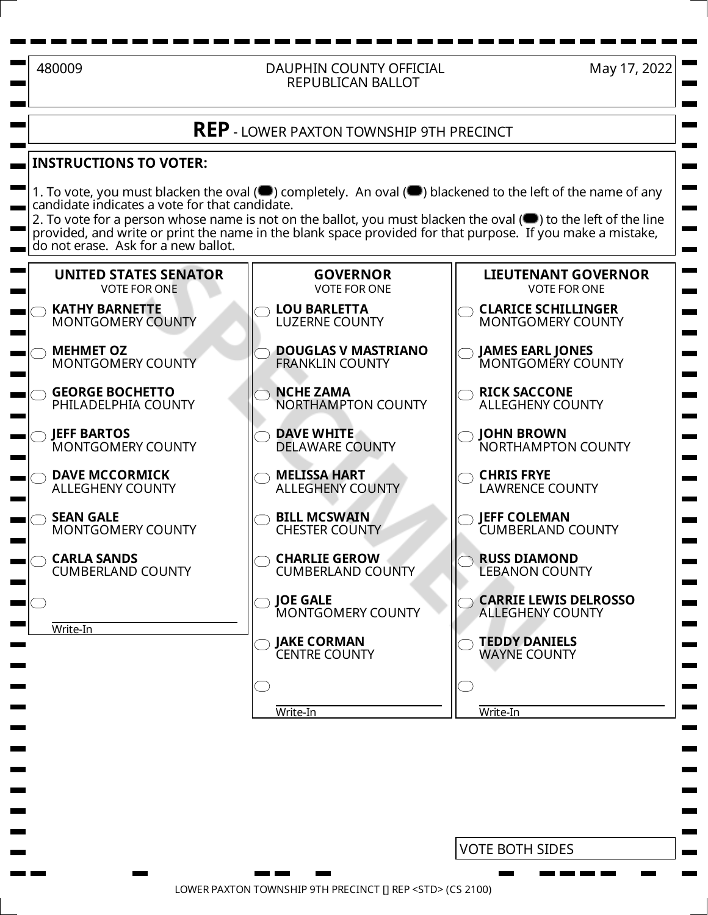## 480009 DAUPHIN COUNTY OFFICIAL REPUBLICAN BALLOT

May 17, 2022

## **REP** - LOWER PAXTON TOWNSHIP 9TH PRECINCT

## **INSTRUCTIONS TO VOTER:**

1. To vote, you must blacken the oval ( $\blacksquare$ ) completely. An oval ( $\blacksquare$ ) blackened to the left of the name of any candidate indicates a vote for that candidate.

2. To vote for a person whose name is not on the ballot, you must blacken the oval ( $\blacksquare$ ) to the left of the line provided, and write or print the name in the blank space provided for that purpose. If you make a mistake, do not erase. Ask for a new ballot.



VOTE BOTH SIDES